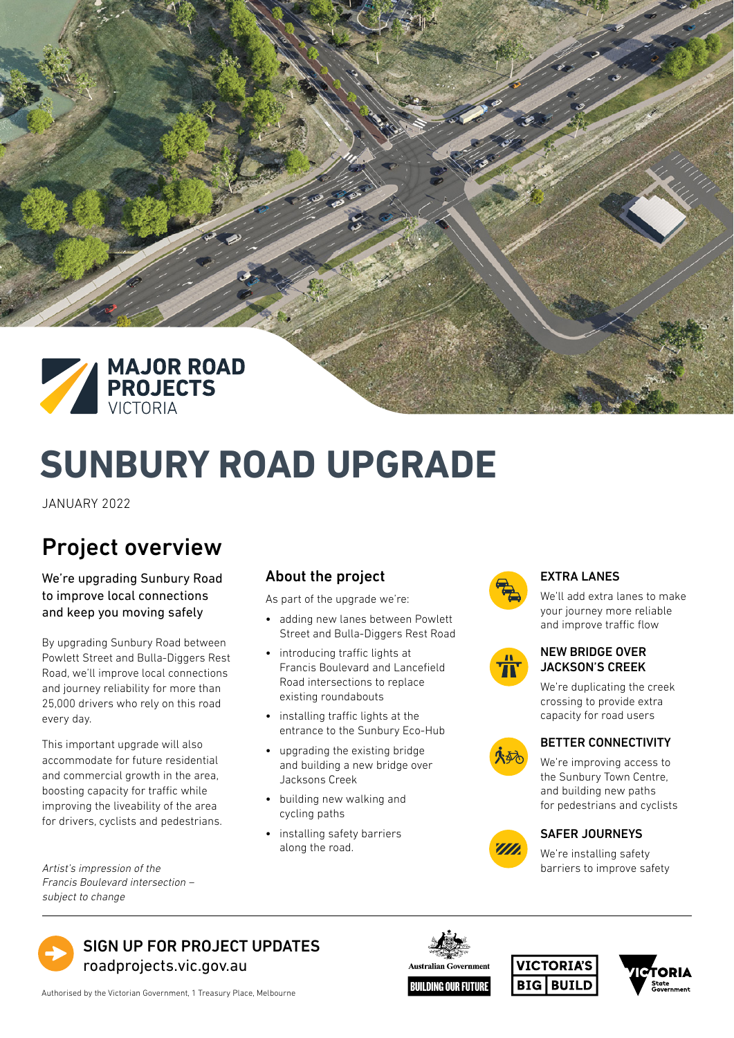

# **SUNBURY ROAD UPGRADE**

JANUARY 2022

# Project overview

We're upgrading Sunbury Road to improve local connections and keep you moving safely

By upgrading Sunbury Road between Powlett Street and Bulla-Diggers Rest Road, we'll improve local connections and journey reliability for more than 25,000 drivers who rely on this road every day.

This important upgrade will also accommodate for future residential and commercial growth in the area, boosting capacity for traffic while improving the liveability of the area for drivers, cyclists and pedestrians.

Francis Boulevard intersection – subject to change

#### About the project

As part of the upgrade we're:

- adding new lanes between Powlett Street and Bulla-Diggers Rest Road
- introducing traffic lights at Francis Boulevard and Lancefield Road intersections to replace existing roundabouts
- installing traffic lights at the entrance to the Sunbury Eco-Hub
- upgrading the existing bridge and building a new bridge over Jacksons Creek
- building new walking and cycling paths
- installing safety barriers along the road.



#### EXTRA LANES

We'll add extra lanes to make your journey more reliable and improve traffic flow

#### NEW BRIDGE OVER JACKSON'S CREEK

We're duplicating the creek crossing to provide extra capacity for road users



#### BETTER CONNECTIVITY

We're improving access to the Sunbury Town Centre, and building new paths for pedestrians and cyclists



#### SAFER JOURNEYS

We're installing safety Artist's impression of the barriers to improve safety



Authorised by the Victorian Government, 1 Treasury Place, Melbourne

**Australian Government BUILDING OUR FUTURE**